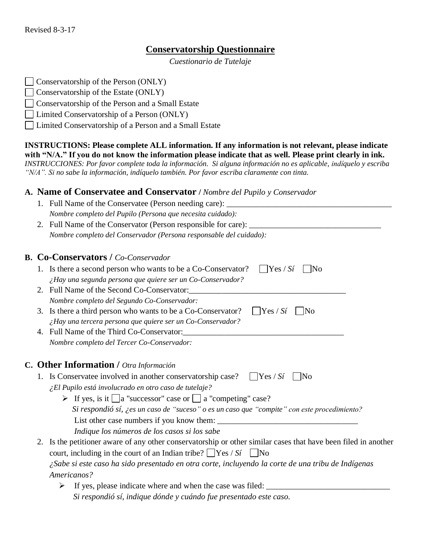## **Conservatorship Questionnaire**

*Cuestionario de Tutelaje*

| Conservatorship of the Person (ONLY) |  |
|--------------------------------------|--|
|--------------------------------------|--|

- $\Box$  Conservatorship of the Estate (ONLY)
- Conservatorship of the Person and a Small Estate
- Limited Conservatorship of a Person (ONLY)
- Limited Conservatorship of a Person and a Small Estate

**INSTRUCTIONS: Please complete ALL information. If any information is not relevant, please indicate**  with "N/A." If you do not know the information please indicate that as well. Please print clearly in ink. *INSTRUCCIONES: Por favor complete toda la información. Si alguna información no es aplicable, indίquelo y escriba*

*"N/A". Si no sabe la información, indíquelo también. Por favor escriba claramente con tinta.*

### **A. Name of Conservatee and Conservator /** *Nombre del Pupilo y Conservador*

|  | 1. Full Name of the Conservatee (Person needing care):                                                         |
|--|----------------------------------------------------------------------------------------------------------------|
|  | Nombre completo del Pupilo (Persona que necesita cuidado):                                                     |
|  | 2. Full Name of the Conservator (Person responsible for care): _________________                               |
|  | Nombre completo del Conservador (Persona responsable del cuidado):                                             |
|  | <b>B. Co-Conservators / Co-Conservador</b>                                                                     |
|  | $Yes / S_t$<br>1. Is there a second person who wants to be a Co-Conservator?<br>$\vert$ No                     |
|  | ¿Hay una segunda persona que quiere ser un Co-Conservador?                                                     |
|  | 2. Full Name of the Second Co-Conservator:                                                                     |
|  | Nombre completo del Segundo Co-Conservador:                                                                    |
|  | $\bigcap$ Yes / Sí<br>3. Is there a third person who wants to be a Co-Conservator?<br>$\vert$ No               |
|  | $\lambda$ Hay una tercera persona que quiere ser un Co-Conservador?                                            |
|  | 4. Full Name of the Third Co-Conservator:                                                                      |
|  | Nombre completo del Tercer Co-Conservador:                                                                     |
|  |                                                                                                                |
|  | C. Other Information / Otra Información                                                                        |
|  | 1. Is Conservatee involved in another conservatorship case?<br>$\vert$ Yes / Si<br>$\parallel$ No              |
|  | ¿El Pupilo está involucrado en otro caso de tutelaje?                                                          |
|  | $\triangleright$ If yes, is it $\Box$ a "successor" case or $\Box$ a "competing" case?                         |
|  | Si respondió sí, ¿es un caso de "suceso" o es un caso que "compite" con este procedimiento?                    |
|  |                                                                                                                |
|  | Indique los números de los casos si los sabe                                                                   |
|  | 2. Is the petitioner aware of any other conservatorship or other similar cases that have been filed in another |
|  | court, including in the court of an Indian tribe? $\Box$ Yes / Si $\Box$ No                                    |
|  | ¿Sabe si este caso ha sido presentado en otra corte, incluyendo la corte de una tribu de Indígenas             |
|  | Americanos?                                                                                                    |
|  | If yes, please indicate where and when the case was filed:                                                     |
|  | Si respondió sí, indique dónde y cuándo fue presentado este caso.                                              |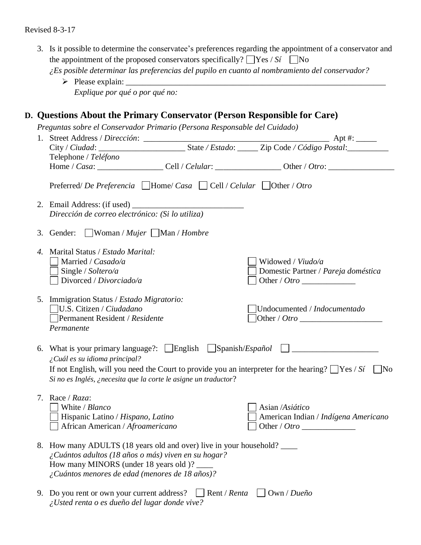|                       | the appointment of the proposed conservators specifically? $\Box$ Yes / Si $\Box$ No<br>¿Es posible determinar las preferencias del pupilo en cuanto al nombramiento del conservador?<br>Explique por qué o por qué no: |              | 3. Is it possible to determine the conservatee's preferences regarding the appointment of a conservator and |
|-----------------------|-------------------------------------------------------------------------------------------------------------------------------------------------------------------------------------------------------------------------|--------------|-------------------------------------------------------------------------------------------------------------|
|                       | D. Questions About the Primary Conservator (Person Responsible for Care)                                                                                                                                                |              |                                                                                                             |
|                       | Preguntas sobre el Conservador Primario (Persona Responsable del Cuidado)                                                                                                                                               |              |                                                                                                             |
|                       |                                                                                                                                                                                                                         |              |                                                                                                             |
|                       | Telephone / Teléfono                                                                                                                                                                                                    |              |                                                                                                             |
|                       |                                                                                                                                                                                                                         |              |                                                                                                             |
|                       | Preferred/De Preferencia $\Box$ Home/Casa $\Box$ Cell / Celular $\Box$ Other / Otro                                                                                                                                     |              |                                                                                                             |
|                       |                                                                                                                                                                                                                         |              |                                                                                                             |
|                       | Dirección de correo electrónico: (Si lo utiliza)                                                                                                                                                                        |              |                                                                                                             |
|                       |                                                                                                                                                                                                                         |              |                                                                                                             |
|                       | $\Box$ Woman / <i>Mujer</i> $\Box$ Man / <i>Hombre</i><br>3. Gender:                                                                                                                                                    |              |                                                                                                             |
| $\mathcal{A}_{\cdot}$ | Marital Status / Estado Marital:                                                                                                                                                                                        |              |                                                                                                             |
|                       | Married / Casado/a                                                                                                                                                                                                      |              | Widowed / Viudo/a                                                                                           |
|                       | Single / Soltero/a                                                                                                                                                                                                      |              | Domestic Partner / Pareja doméstica                                                                         |
|                       | Divorced / Divorciado/a                                                                                                                                                                                                 |              |                                                                                                             |
|                       | 5. Immigration Status / Estado Migratorio:                                                                                                                                                                              |              |                                                                                                             |
|                       | U.S. Citizen / Ciudadano                                                                                                                                                                                                |              | Undocumented / Indocumentado                                                                                |
|                       | Permanent Resident / Residente                                                                                                                                                                                          |              | Other / Otro                                                                                                |
|                       | Permanente                                                                                                                                                                                                              |              |                                                                                                             |
|                       |                                                                                                                                                                                                                         |              |                                                                                                             |
|                       | 6. What is your primary language?: [English [Spanish/Español [J].<br>¿Cuál es su idioma principal?                                                                                                                      |              |                                                                                                             |
|                       | If not English, will you need the Court to provide you an interpreter for the hearing? $\Box$ Yes / Si                                                                                                                  |              | No                                                                                                          |
|                       | Si no es Inglés, ¿necesita que la corte le asigne un traductor?                                                                                                                                                         |              |                                                                                                             |
|                       |                                                                                                                                                                                                                         |              |                                                                                                             |
| 7.                    | Race / Raza:                                                                                                                                                                                                            |              |                                                                                                             |
|                       | White / Blanco<br>Hispanic Latino / Hispano, Latino                                                                                                                                                                     |              | Asian /Asiático                                                                                             |
|                       | African American / Afroamericano                                                                                                                                                                                        |              | American Indian / Indígena Americano                                                                        |
|                       |                                                                                                                                                                                                                         |              |                                                                                                             |
| 8.                    | How many ADULTS (18 years old and over) live in your household?                                                                                                                                                         |              |                                                                                                             |
|                       | ¿Cuántos adultos (18 años o más) viven en su hogar?                                                                                                                                                                     |              |                                                                                                             |
|                       | How many MINORS (under 18 years old )? _____<br>¿Cuántos menores de edad (menores de 18 años)?                                                                                                                          |              |                                                                                                             |
|                       |                                                                                                                                                                                                                         |              |                                                                                                             |
| 9.                    | Do you rent or own your current address?                                                                                                                                                                                | Rent / Renta | Own / Dueño                                                                                                 |

*¿Usted renta o es dueño del lugar donde vive?*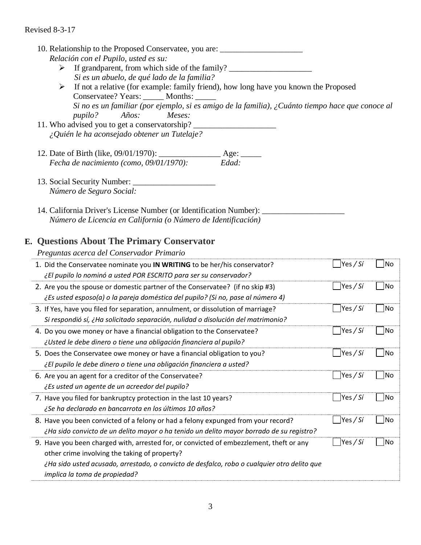10. Relationship to the Proposed Conservatee, you are: \_\_\_\_\_\_\_\_\_\_\_\_\_\_\_\_\_\_\_\_\_\_\_\_\_ *Relación con el Pupilo, usted es su:* > If grandparent, from which side of the family?  *Si es un abuelo, de qué lado de la familia?*  ➢ If not a relative (for example: family friend), how long have you known the Proposed Conservatee? Years: \_\_\_\_\_\_ Months: \_\_\_\_\_\_  *Si no es un familiar (por ejemplo, si es amigo de la familia), ¿Cuánto tiempo hace que conoce al pupilo? Años: Meses:* 11. Who advised you to get a conservatorship? *¿Quién le ha aconsejado obtener un Tutelaje?*  12. Date of Birth (like,  $09/01/1970$ ):  $\begin{array}{c}\text{Age:}\n\text{ }\text{ }\text{Re:}\text{ }\text{ }\text{4.4}\text{ }\text{ }\text{4.4}\text{ }\text{ }\text{4.4}\text{ }\text{4.4}\text{ }\text{4.4}\text{ }\text{4.4}\text{ }\text{4.4}\text{ }\text{4.4}\text{ }\text{4.4}\text{ }\text{4.4}\text{ }\text{4.4}\text{ }\text{4.4}\text{ }\text{4.4}\text{ }\text{4.4}\text{ }\text{4.4}\text{ }\text{4.4}\text{$ *Fecha de nacimiento (como, 09/01/1970):* 13. Social Security Number: *Número de Seguro Social:*  14. California Driver's License Number (or Identification Number): *Número de Licencia en California (o Número de Identificación)*

# **E. Questions About The Primary Conservator**

*Preguntas acerca del Conservador Primario*

| 1. Did the Conservatee nominate you IN WRITING to be her/his conservator?                   | Yes / Sí                | No        |
|---------------------------------------------------------------------------------------------|-------------------------|-----------|
| ¿El pupilo lo nominó a usted POR ESCRITO para ser su conservador?                           |                         |           |
| 2. Are you the spouse or domestic partner of the Conservatee? (if no skip #3)               | Yes / Si                | No        |
| ¿Es usted esposo(a) o la pareja doméstica del pupilo? (Si no, pase al número 4)             |                         |           |
| 3. If Yes, have you filed for separation, annulment, or dissolution of marriage?            | $\blacksquare$ Yes / Sí | No        |
| Si respondió sí, ¿Ha solicitado separación, nulidad o disolución del matrimonio?            |                         |           |
| 4. Do you owe money or have a financial obligation to the Conservatee?                      | Yes/Si                  | No        |
| ¿Usted le debe dinero o tiene una obligación financiera al pupilo?                          |                         |           |
| 5. Does the Conservatee owe money or have a financial obligation to you?                    | Yes / Si                | No        |
| ¿El pupilo le debe dinero o tiene una obligación financiera a usted?                        |                         |           |
| 6. Are you an agent for a creditor of the Conservatee?                                      | Yes/Si                  | <b>No</b> |
| ¿Es usted un agente de un acreedor del pupilo?                                              |                         |           |
| 7. Have you filed for bankruptcy protection in the last 10 years?                           | Yes / Si                | No        |
| ¿Se ha declarado en bancarrota en los últimos 10 años?                                      |                         |           |
| 8. Have you been convicted of a felony or had a felony expunged from your record?           | Yes / Si                | No        |
| ¿Ha sido convicto de un delito mayor o ha tenido un delito mayor borrado de su registro?    |                         |           |
| 9. Have you been charged with, arrested for, or convicted of embezzlement, theft or any     | Yes / Sí                | No        |
| other crime involving the taking of property?                                               |                         |           |
| ¿Ha sido usted acusado, arrestado, o convicto de desfalco, robo o cualquier otro delito que |                         |           |
| implica la toma de propiedad?                                                               |                         |           |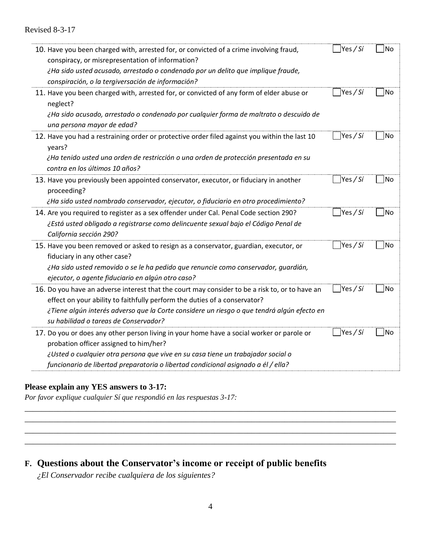| 10. Have you been charged with, arrested for, or convicted of a crime involving fraud,<br>conspiracy, or misrepresentation of information?<br>¿Ha sido usted acusado, arrestado o condenado por un delito que implique fraude,<br>conspiración, o la tergiversación de información?                                | Yes / Sí                               | No  |
|--------------------------------------------------------------------------------------------------------------------------------------------------------------------------------------------------------------------------------------------------------------------------------------------------------------------|----------------------------------------|-----|
| 11. Have you been charged with, arrested for, or convicted of any form of elder abuse or<br>neglect?<br>¿Ha sido acusado, arrestado o condenado por cualquier forma de maltrato o descuido de<br>una persona mayor de edad?                                                                                        | $\text{Yes } / \text{Si}$              | No  |
| 12. Have you had a restraining order or protective order filed against you within the last 10<br>years?<br>¿Ha tenido usted una orden de restricción o una orden de protección presentada en su<br>contra en los últimos 10 años?                                                                                  | Yes / Si                               | No  |
| 13. Have you previously been appointed conservator, executor, or fiduciary in another<br>proceeding?<br>¿Ha sido usted nombrado conservador, ejecutor, o fiduciario en otro procedimiento?                                                                                                                         | Yes / Si                               | No  |
| 14. Are you required to register as a sex offender under Cal. Penal Code section 290?<br>¿Está usted obligado a registrarse como delincuente sexual bajo el Código Penal de<br>California sección 290?                                                                                                             | $\left  \text{Yes } \right/ \text{Si}$ | lNo |
| 15. Have you been removed or asked to resign as a conservator, guardian, executor, or<br>fiduciary in any other case?<br>¿Ha sido usted removido o se le ha pedido que renuncie como conservador, guardián,<br>ejecutor, o agente fiduciario en algún otro caso?                                                   | Yes / Sí                               | No  |
| 16. Do you have an adverse interest that the court may consider to be a risk to, or to have an<br>effect on your ability to faithfully perform the duties of a conservator?<br>¿Tiene algún interés adverso que la Corte considere un riesgo o que tendrá algún efecto en<br>su habilidad o tareas de Conservador? | Yes / Sí                               | No  |
| 17. Do you or does any other person living in your home have a social worker or parole or<br>probation officer assigned to him/her?<br>¿Usted o cualquier otra persona que vive en su casa tiene un trabajador social o<br>funcionario de libertad preparatoria o libertad condicional asignado a él / ella?       | Yes / Sí                               | No  |

## **Please explain any YES answers to 3-17:**

*Por favor explique cualquier Sí que respondió en las respuestas 3-17:*

# **F. Questions about the Conservator's income or receipt of public benefits**

*¿El Conservador recibe cualquiera de los siguientes?*

\_\_\_\_\_\_\_\_\_\_\_\_\_\_\_\_\_\_\_\_\_\_\_\_\_\_\_\_\_\_\_\_\_\_\_\_\_\_\_\_\_\_\_\_\_\_\_\_\_\_\_\_\_\_\_\_\_\_\_\_\_\_\_\_\_\_\_\_\_\_\_\_\_\_\_\_\_\_\_\_\_\_\_\_\_\_\_\_\_\_ \_\_\_\_\_\_\_\_\_\_\_\_\_\_\_\_\_\_\_\_\_\_\_\_\_\_\_\_\_\_\_\_\_\_\_\_\_\_\_\_\_\_\_\_\_\_\_\_\_\_\_\_\_\_\_\_\_\_\_\_\_\_\_\_\_\_\_\_\_\_\_\_\_\_\_\_\_\_\_\_\_\_\_\_\_\_\_\_\_\_ \_\_\_\_\_\_\_\_\_\_\_\_\_\_\_\_\_\_\_\_\_\_\_\_\_\_\_\_\_\_\_\_\_\_\_\_\_\_\_\_\_\_\_\_\_\_\_\_\_\_\_\_\_\_\_\_\_\_\_\_\_\_\_\_\_\_\_\_\_\_\_\_\_\_\_\_\_\_\_\_\_\_\_\_\_\_\_\_\_\_ \_\_\_\_\_\_\_\_\_\_\_\_\_\_\_\_\_\_\_\_\_\_\_\_\_\_\_\_\_\_\_\_\_\_\_\_\_\_\_\_\_\_\_\_\_\_\_\_\_\_\_\_\_\_\_\_\_\_\_\_\_\_\_\_\_\_\_\_\_\_\_\_\_\_\_\_\_\_\_\_\_\_\_\_\_\_\_\_\_\_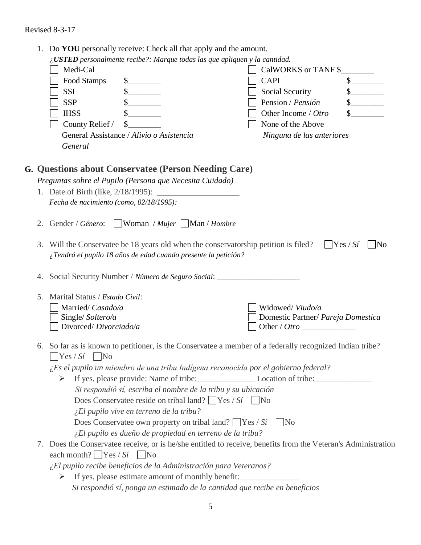|    | Do YOU personally receive: Check all that apply and the amount.                                                                                        |                                    |                        |
|----|--------------------------------------------------------------------------------------------------------------------------------------------------------|------------------------------------|------------------------|
|    | $i$ USTED personalmente recibe?: Marque todas las que apliquen y la cantidad.                                                                          |                                    |                        |
|    | Medi-Cal                                                                                                                                               | CalWORKS or TANF \$                |                        |
|    | Food Stamps<br>$\frac{\text{S}}{\text{S}}$                                                                                                             | <b>CAPI</b>                        | \$                     |
|    | SSI                                                                                                                                                    | Social Security                    |                        |
|    | <b>SSP</b>                                                                                                                                             | Pension / Pensión                  |                        |
|    | <b>IHSS</b>                                                                                                                                            | Other Income / Otro                |                        |
|    | County Relief /                                                                                                                                        | None of the Above                  |                        |
|    | General Assistance / Alivio o Asistencia                                                                                                               | Ninguna de las anteriores          |                        |
|    | General                                                                                                                                                |                                    |                        |
|    | G. Questions about Conservatee (Person Needing Care)                                                                                                   |                                    |                        |
|    | Preguntas sobre el Pupilo (Persona que Necesita Cuidado)                                                                                               |                                    |                        |
|    |                                                                                                                                                        |                                    |                        |
|    | Fecha de nacimiento (como, 02/18/1995):                                                                                                                |                                    |                        |
| 2. | $\Box$ Woman / Mujer $\Box$ Man / Hombre<br>Gender / Género:                                                                                           |                                    |                        |
| 3. | Will the Conservate be 18 years old when the conservatorship petition is filed?<br>¿Tendrá el pupilo 18 años de edad cuando presente la petición?      |                                    | $\Box$ Yes / Sí<br>lNo |
| 4. | Social Security Number / Número de Seguro Social:                                                                                                      |                                    |                        |
| 5. | Marital Status / Estado Civil:                                                                                                                         |                                    |                        |
|    | Married/ Casado/a                                                                                                                                      | Widowed/Viudo/a                    |                        |
|    | Single/Soltero/a                                                                                                                                       | Domestic Partner/ Pareja Domestica |                        |
|    | Divorced/Divorciado/a                                                                                                                                  |                                    |                        |
|    | 6. So far as is known to petitioner, is the Conservatee a member of a federally recognized Indian tribe?<br>Yes / Sí<br>$\mid$ No                      |                                    |                        |
|    | ¿Es el pupilo un miembro de una tribu Indígena reconocida por el gobierno federal?                                                                     |                                    |                        |
|    | If yes, please provide: Name of tribe: Location of tribe: Location of tribe:<br>➤                                                                      |                                    |                        |
|    | Si respondió sí, escriba el nombre de la tribu y su ubicación                                                                                          |                                    |                        |
|    | Does Conservate reside on tribal land? $\Box$ Yes / Si $\Box$ No                                                                                       |                                    |                        |
|    | $\angle El$ pupilo vive en terreno de la tribu?                                                                                                        |                                    |                        |
|    | Does Conservatee own property on tribal land? $\Box$ Yes / Si                                                                                          | $\overline{N_{0}}$                 |                        |
|    | ¿El pupilo es dueño de propiedad en terreno de la tribu?                                                                                               |                                    |                        |
|    | 7. Does the Conservate ereceive, or is he/she entitled to receive, benefits from the Veteran's Administration<br>each month? $\sum$ Yes / Si $\sum$ No |                                    |                        |
|    |                                                                                                                                                        |                                    |                        |
|    | ¿El pupilo recibe beneficios de la Administración para Veteranos?<br>If yes, please estimate amount of monthly benefit: ______________________________ |                                    |                        |
|    |                                                                                                                                                        |                                    |                        |
|    | Si respondió sí, ponga un estimado de la cantidad que recibe en beneficios                                                                             |                                    |                        |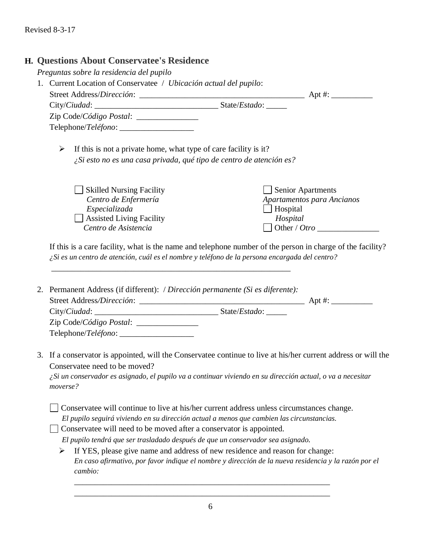### **H. Questions About Conservatee's Residence**

*Preguntas sobre la residencia del pupilo*

| 1. Current Location of Conservatee / <i>Ubicación actual del pupilo</i> : |                                                                                                                                                    |                        |  |
|---------------------------------------------------------------------------|----------------------------------------------------------------------------------------------------------------------------------------------------|------------------------|--|
|                                                                           | Street Address/Dirección:<br><u> 1980 - Jan Barbara, masonalainen pilotti muoten muoden muoden pilotti muoden muoden muoden muoden muoden muod</u> |                        |  |
|                                                                           |                                                                                                                                                    | State/ <i>Estado</i> : |  |
|                                                                           | Zip Code/Código Postal:                                                                                                                            |                        |  |
|                                                                           |                                                                                                                                                    |                        |  |

 $\triangleright$  If this is not a private home, what type of care facility is it? *¿Si esto no es una casa privada, qué tipo de centro de atención es?*

*\_\_\_\_\_\_\_\_\_\_\_\_\_\_\_\_\_\_\_\_\_\_\_\_\_\_\_\_\_\_\_\_\_\_\_\_\_\_\_\_\_\_\_\_\_\_\_\_\_\_\_\_\_\_\_\_\_\_*

| <b>Skilled Nursing Facility</b> | Senior Apartments          |
|---------------------------------|----------------------------|
| Centro de Enfermería            | Apartamentos para Ancianos |
| Especializada                   | Hospital                   |
| $\Box$ Assisted Living Facility | Hospital                   |
| Centro de Asistencia            | Other / Otro               |

If this is a care facility, what is the name and telephone number of the person in charge of the facility? *¿Si es un centro de atención, cuál es el nombre y teléfono de la persona encargada del centro?* 

- 2. Permanent Address (if different): / *Dirección permanente (Si es diferente):* Street Address*/Dirección*: \_\_\_\_\_\_\_\_\_\_\_\_\_\_\_\_\_\_\_\_\_\_\_\_\_\_\_\_\_\_\_\_\_\_\_\_\_\_\_\_ Apt #: \_\_\_\_\_\_\_\_\_\_ City/*Ciudad*: \_\_\_\_\_\_\_\_\_\_\_\_\_\_\_\_\_\_\_\_\_\_\_\_\_\_\_\_\_\_ State/*Estado*: \_\_\_\_\_ Zip Code/*Código Postal*: \_\_\_\_\_\_\_\_\_\_\_\_\_\_\_ Telephone/*Teléfono*: \_\_\_\_\_\_\_\_\_\_\_\_\_\_\_\_\_\_
- 3. If a conservator is appointed, will the Conservatee continue to live at his/her current address or will the Conservatee need to be moved?

*¿Si un conservador es asignado, el pupilo va a continuar viviendo en su dirección actual, o va a necesitar moverse?*

Conservatee will continue to live at his/her current address unless circumstances change. *El pupilo seguirá viviendo en su dirección actual a menos que cambien las circunstancias.*

 $\Box$  Conservatee will need to be moved after a conservator is appointed.

*El pupilo tendrá que ser trasladado después de que un conservador sea asignado.*

➢ If YES, please give name and address of new residence and reason for change: *En caso afirmativo, por favor indique el nombre y dirección de la nueva residencia y la razón por el cambio:*

\_\_\_\_\_\_\_\_\_\_\_\_\_\_\_\_\_\_\_\_\_\_\_\_\_\_\_\_\_\_\_\_\_\_\_\_\_\_\_\_\_\_\_\_\_\_\_\_\_\_\_\_\_\_\_\_\_\_\_\_\_\_ \_\_\_\_\_\_\_\_\_\_\_\_\_\_\_\_\_\_\_\_\_\_\_\_\_\_\_\_\_\_\_\_\_\_\_\_\_\_\_\_\_\_\_\_\_\_\_\_\_\_\_\_\_\_\_\_\_\_\_\_\_\_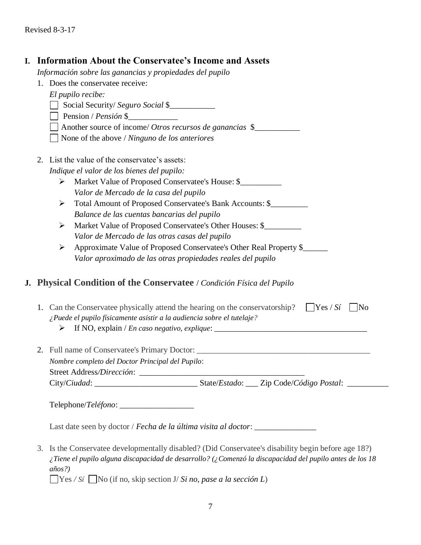## **I. Information About the Conservatee's Income and Assets**

*Información sobre las ganancias y propiedades del pupilo*

1. Does the conservatee receive:

Social Security/ *Seguro Social* \$\_\_\_\_\_\_\_\_\_\_\_

Pension / *Pensión* \$\_\_\_\_\_\_\_\_\_\_\_\_

Another source of income/ *Otros recursos de ganancias* \$\_\_\_\_\_\_\_\_\_\_\_

None of the above / *Ninguno de los anteriores*

- 2. List the value of the conservatee's assets: *Indique el valor de los bienes del pupilo:*
	- ➢ Market Value of Proposed Conservatee's House: \$\_\_\_\_\_\_\_\_\_\_ *Valor de Mercado de la casa del pupilo*
	- ➢ Total Amount of Proposed Conservatee's Bank Accounts: \$\_\_\_\_\_\_\_\_\_ *Balance de las cuentas bancarias del pupilo*
	- ➢ Market Value of Proposed Conservatee's Other Houses: \$\_\_\_\_\_\_\_\_\_ *Valor de Mercado de las otras casas del pupilo*
	- ➢ Approximate Value of Proposed Conservatee's Other Real Property \$\_\_\_\_\_\_ *Valor aproximado de las otras propiedades reales del pupilo*

# **J. Physical Condition of the Conservatee /** *Condición Física del Pupilo*

| 1. Can the Conservate physically attend the hearing on the conservatorship? $\Box$ Yes / Si $\Box$ No<br>¿Puede el pupilo físicamente asistir a la audiencia sobre el tutelaje?<br>$\triangleright$ If NO, explain / <i>En caso negativo, explique</i> : |                                                   |  |
|----------------------------------------------------------------------------------------------------------------------------------------------------------------------------------------------------------------------------------------------------------|---------------------------------------------------|--|
| 2. Full name of Conservatee's Primary Doctor:<br>Nombre completo del Doctor Principal del Pupilo:<br>Street Address/Dirección:                                                                                                                           |                                                   |  |
| City/Ciudad:                                                                                                                                                                                                                                             | State/Estado: ___ Zip Code/Código Postal: _______ |  |

Telephone/*Teléfono*: \_\_\_\_\_\_\_\_\_\_\_\_\_\_\_\_\_\_

Last date seen by doctor / *Fecha de la última visita al doctor*: \_\_\_\_\_\_\_\_\_\_\_\_\_\_\_

3. Is the Conservatee developmentally disabled? (Did Conservatee's disability begin before age 18?) *¿Tiene el pupilo alguna discapacidad de desarrollo? (¿Comenzó la discapacidad del pupilo antes de los 18 años?)*

Yes */ Sí* No (if no, skip section J/ *Si no, pase a la sección L*)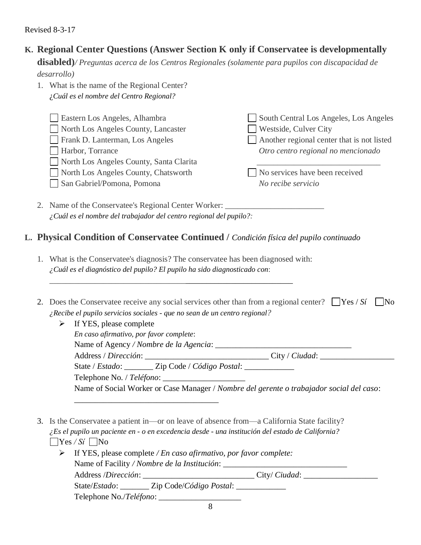# **K. Regional Center Questions (Answer Section K only if Conservatee is developmentally**

**disabled)***/ Preguntas acerca de los Centros Regionales (solamente para pupilos con discapacidad de desarrollo)*

1. What is the name of the Regional Center? ¿*Cuál es el nombre del Centro Regional?*

Eastern Los Angeles, Alhambra North Los Angeles County, Lancaster Frank D. Lanterman, Los Angeles Harbor, Torrance North Los Angeles County, Santa Clarita North Los Angeles County, Chatsworth San Gabriel/Pomona, Pomona South Central Los Angeles, Los Angeles Westside, Culver City Another regional center that is not listed *Otro centro regional no mencionado \_\_\_\_\_\_\_\_\_\_\_\_\_\_\_\_\_\_\_\_\_\_\_\_\_\_\_\_\_\_* No services have been received *No recibe servicio*

2. Name of the Conservatee's Regional Center Worker: *¿Cuál es el nombre del trabajador del centro regional del pupilo?:*

\_\_\_\_\_\_\_\_\_\_\_\_\_\_\_\_\_\_\_\_\_\_\_\_\_\_\_\_\_\_\_\_\_\_\_

# **L. Physical Condition of Conservatee Continued /** *Condición física del pupilo continuado*

1. What is the Conservatee's diagnosis? The conservatee has been diagnosed with: *¿Cuál es el diagnóstico del pupilo? El pupilo ha sido diagnosticado con*:

\_\_\_\_\_\_\_\_\_\_\_\_\_\_\_\_\_\_\_\_\_\_\_\_\_\_\_\_\_\_\_\_\_\_\_\_\_\_\_\_\_\_\_\_\_\_\_\_\_\_\_\_\_\_\_\_\_\_\_

| 2. Does the Conservatee receive any social services other than from a regional center? $\Box$ Yes / Si $\Box$ No |  |
|------------------------------------------------------------------------------------------------------------------|--|
| $\lambda$ Recibe el pupilo servicios sociales - que no sean de un centro regional?                               |  |

| $\triangleright$ If YES, please complete                                                 |                |
|------------------------------------------------------------------------------------------|----------------|
| En caso afirmativo, por favor complete:                                                  |                |
|                                                                                          |                |
| Address / Dirección:                                                                     | City / Ciudad: |
| State / Estado: Zip Code / Código Postal:                                                |                |
|                                                                                          |                |
| Name of Social Worker or Case Manager / Nombre del gerente o trabajador social del caso: |                |

3. Is the Conservatee a patient in—or on leave of absence from—a California State facility? *¿Es el pupilo un paciente en - o en excedencia desde - una institución del estado de California?*  $Y$ es */ Si*  $N$ o

| $\triangleright$ If YES, please complete / <i>En caso afirmativo, por favor complete:</i> |  |  |
|-------------------------------------------------------------------------------------------|--|--|
|                                                                                           |  |  |
| Address /Dirección: City/Ciudad:                                                          |  |  |
| State/Estado: Zip Code/Código Postal:                                                     |  |  |
|                                                                                           |  |  |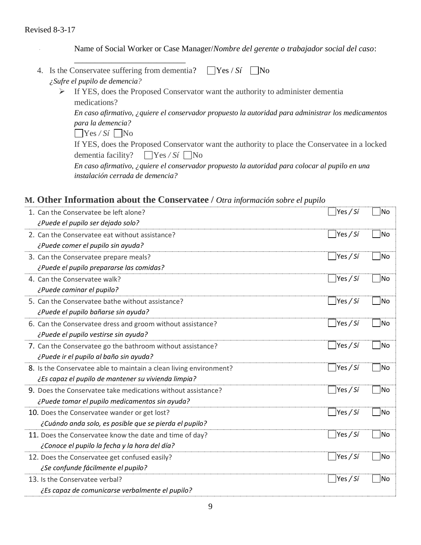Name of Social Worker or Case Manager/*Nombre del gerente o trabajador social del caso*:

|  | ¿Sufre el pupilo de demencia?                                                                       |
|--|-----------------------------------------------------------------------------------------------------|
|  | If YES, does the Proposed Conservator want the authority to administer dementia                     |
|  | medications?                                                                                        |
|  | En caso afirmativo, ¿quiere el conservador propuesto la autoridad para administrar los medicamentos |
|  | para la demencia?                                                                                   |
|  | $\bigcap$ Yes / Sí $\bigcap$ No                                                                     |
|  | If YES, does the Proposed Conservator want the authority to place the Conservatee in a locked       |
|  | dementia facility? $\Box$ Yes / Si $\Box$ No                                                        |
|  |                                                                                                     |

|                                         | En caso afirmativo, ¿quiere el conservador propuesto la autoridad para colocar al pupilo en una |  |
|-----------------------------------------|-------------------------------------------------------------------------------------------------|--|
| <i>instalación cerrada de demencia?</i> |                                                                                                 |  |

# **M. Other Information about the Conservatee /** *Otra información sobre el pupilo*

| 1. Can the Conservatee be left alone?                              | $\Box$ Yes / Sí           | No |
|--------------------------------------------------------------------|---------------------------|----|
| ¿Puede el pupilo ser dejado solo?                                  |                           |    |
| 2. Can the Conservatee eat without assistance?                     | Yes / Si                  | No |
| ¿Puede comer el pupilo sin ayuda?                                  |                           |    |
| 3. Can the Conservatee prepare meals?                              | $\sqrt{Yes/Si}$           | No |
| ¿Puede el pupilo prepararse las comidas?                           |                           |    |
| 4. Can the Conservatee walk?                                       | Yes/Si                    | No |
| ¿Puede caminar el pupilo?                                          |                           |    |
| 5. Can the Conservatee bathe without assistance?                   | $\sqrt{\frac{9}{5}}$      | No |
| ¿Puede el pupilo bañarse sin ayuda?                                |                           |    |
| 6. Can the Conservatee dress and groom without assistance?         | $\sqrt{\frac{9}{5}}$      | No |
| ¿Puede el pupilo vestirse sin ayuda?                               |                           |    |
| 7. Can the Conservatee go the bathroom without assistance?         | $ $ Yes / Si              | No |
| ¿Puede ir el pupilo al baño sin ayuda?                             |                           |    |
| 8. Is the Conservatee able to maintain a clean living environment? | Yes/Si                    | No |
| ¿Es capaz el pupilo de mantener su vivienda limpia?                |                           |    |
| 9. Does the Conservatee take medications without assistance?       | $\bigcap$ Yes / Sí        | No |
| ¿Puede tomar el pupilo medicamentos sin ayuda?                     |                           |    |
| 10. Does the Conservatee wander or get lost?                       | $\Box$ Yes / Sí           | No |
| ¿Cuándo anda solo, es posible que se pierda el pupilo?             |                           |    |
| 11. Does the Conservatee know the date and time of day?            | $\left  \right $ Yes / Sí | No |
| ¿Conoce el pupilo la fecha y la hora del día?                      |                           |    |
| 12. Does the Conservatee get confused easily?                      | $\sqrt{Y}$ es / Sí        | No |
| ¿Se confunde fácilmente el pupilo?                                 |                           |    |
| 13. Is the Conservatee verbal?                                     | Yes / Si                  | No |
| ¿Es capaz de comunicarse verbalmente el pupilo?                    |                           |    |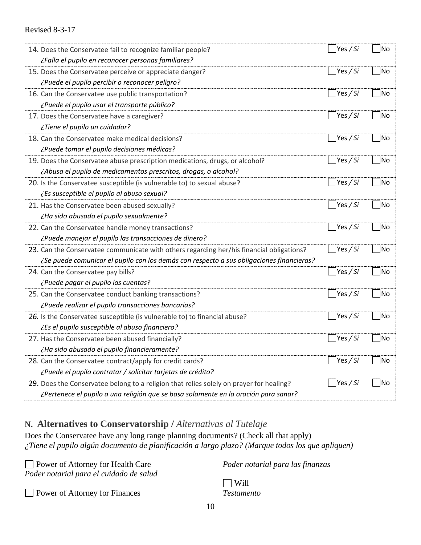| 14. Does the Conservatee fail to recognize familiar people?                              | $\gamma$ es / Sí          | No  |
|------------------------------------------------------------------------------------------|---------------------------|-----|
| ¿Falla el pupilo en reconocer personas familiares?                                       |                           |     |
| 15. Does the Conservatee perceive or appreciate danger?                                  | Yes / Sí                  | No  |
| ¿Puede el pupilo percibir o reconocer peligro?                                           |                           |     |
| 16. Can the Conservatee use public transportation?                                       | $\text{Yes } / \text{Si}$ | No  |
| ¿Puede el pupilo usar el transporte público?                                             |                           |     |
| 17. Does the Conservatee have a caregiver?                                               | Yes / Sí                  | No  |
| ¿Tiene el pupilo un cuidador?                                                            |                           |     |
| 18. Can the Conservatee make medical decisions?                                          | $\sqrt{Yes/Si}$           | No  |
| ¿Puede tomar el pupilo decisiones médicas?                                               |                           |     |
| 19. Does the Conservatee abuse prescription medications, drugs, or alcohol?              | Yes / Si                  | No  |
| ¿Abusa el pupilo de medicamentos prescritos, drogas, o alcohol?                          |                           |     |
| 20. Is the Conservatee susceptible (is vulnerable to) to sexual abuse?                   | $\text{Yes } / \text{Si}$ | No  |
| ¿Es susceptible el pupilo al abuso sexual?                                               |                           |     |
| 21. Has the Conservatee been abused sexually?                                            | $\left \right.$ Yes / Sí  | No  |
| ¿Ha sido abusado el pupilo sexualmente?                                                  |                           |     |
|                                                                                          | Yes / Sí                  | No  |
| 22. Can the Conservatee handle money transactions?                                       |                           |     |
| ¿Puede manejar el pupilo las transacciones de dinero?                                    |                           |     |
| 23. Can the Conservatee communicate with others regarding her/his financial obligations? | Yes / Sí                  | No  |
| ¿Se puede comunicar el pupilo con los demás con respecto a sus obligaciones financieras? |                           |     |
| 24. Can the Conservatee pay bills?                                                       | $\gamma$ es / Sí          | No] |
| ¿Puede pagar el pupilo las cuentas?                                                      |                           |     |
| 25. Can the Conservatee conduct banking transactions?                                    | $\gamma$ es / Sí          | No  |
| ¿Puede realizar el pupilo transacciones bancarias?                                       |                           |     |
| 26. Is the Conservatee susceptible (is vulnerable to) to financial abuse?                | Yes / Sí                  | No  |
| ¿Es el pupilo susceptible al abuso financiero?                                           |                           |     |
| 27. Has the Conservatee been abused financially?                                         | $\gamma$ es / Sí          | Mo] |
| ¿Ha sido abusado el pupilo financieramente?                                              |                           |     |
| 28. Can the Conservatee contract/apply for credit cards?                                 | Yes / Sí                  | No  |
| ¿Puede el pupilo contratar / solicitar tarjetas de crédito?                              |                           |     |
| 29. Does the Conservatee belong to a religion that relies solely on prayer for healing?  | Yes / Sí                  | No  |
| ¿Pertenece el pupilo a una religión que se basa solamente en la oración para sanar?      |                           |     |

# **N. Alternatives to Conservatorship /** *Alternativas al Tutelaje*

Does the Conservatee have any long range planning documents? (Check all that apply) *¿Tiene el pupilo algún documento de planificación a largo plazo? (Marque todos los que apliquen)*

| Power of Attorney for Health Care       | Poder notarial para las finanzas |
|-----------------------------------------|----------------------------------|
| Poder notarial para el cuidado de salud |                                  |
|                                         | Will                             |
| Power of Attorney for Finances          | <i>Testamento</i>                |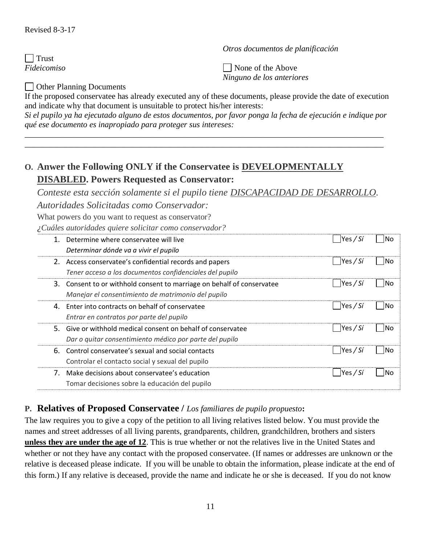*Otros documentos de planificación*

 $\Box$  Trust *Fideicomiso*

None of the Above *Ninguno de los anteriores*

Other Planning Documents

If the proposed conservatee has already executed any of these documents, please provide the date of execution and indicate why that document is unsuitable to protect his/her interests:

*Si el pupilo ya ha ejecutado alguno de estos documentos, por favor ponga la fecha de ejecución e indique por qué ese documento es inapropiado para proteger sus intereses:*

\_\_\_\_\_\_\_\_\_\_\_\_\_\_\_\_\_\_\_\_\_\_\_\_\_\_\_\_\_\_\_\_\_\_\_\_\_\_\_\_\_\_\_\_\_\_\_\_\_\_\_\_\_\_\_\_\_\_\_\_\_\_\_\_\_\_\_\_\_\_\_\_\_\_\_\_\_\_\_\_\_\_\_\_\_\_\_ \_\_\_\_\_\_\_\_\_\_\_\_\_\_\_\_\_\_\_\_\_\_\_\_\_\_\_\_\_\_\_\_\_\_\_\_\_\_\_\_\_\_\_\_\_\_\_\_\_\_\_\_\_\_\_\_\_\_\_\_\_\_\_\_\_\_\_\_\_\_\_\_\_\_\_\_\_\_\_\_\_\_\_\_\_\_\_

# **O. Anwer the Following ONLY if the Conservatee is DEVELOPMENTALLY DISABLED. Powers Requested as Conservator:**

*Conteste esta sección solamente si el pupilo tiene DISCAPACIDAD DE DESARROLLO. Autoridades Solicitadas como Conservador:*

What powers do you want to request as conservator?

*¿Cuáles autoridades quiere solicitar como conservador?*

|    | Determine where conservatee will live                               | Yes / Si | lNo  |
|----|---------------------------------------------------------------------|----------|------|
|    | Determinar dónde va a vivir el pupilo                               |          |      |
|    | 2. Access conservatee's confidential records and papers             | Yes / Si | lNo  |
|    | Tener acceso a los documentos confidenciales del pupilo             |          |      |
| 3. | Consent to or withhold consent to marriage on behalf of conservatee | Yes / Si | lNo  |
|    | Manejar el consentimiento de matrimonio del pupilo                  |          |      |
| 4. | Enter into contracts on behalf of conservatee                       | Yes / Si | lNo. |
|    | Entrar en contratos por parte del pupilo                            |          |      |
|    | 5. Give or withhold medical consent on behalf of conservatee        | Yes / Si | lNo. |
|    | Dar o quitar consentimiento médico por parte del pupilo             |          |      |
| 6. | Control conservatee's sexual and social contacts                    | Yes / Si | lNo. |
|    | Controlar el contacto social y sexual del pupilo                    |          |      |
|    | Make decisions about conservatee's education                        | Yes / Si | lNo  |
|    | Tomar decisiones sobre la educación del pupilo                      |          |      |

### **P. Relatives of Proposed Conservatee /** *Los familiares de pupilo propuesto***:**

The law requires you to give a copy of the petition to all living relatives listed below. You must provide the names and street addresses of all living parents, grandparents, children, grandchildren, brothers and sisters **unless they are under the age of 12**. This is true whether or not the relatives live in the United States and whether or not they have any contact with the proposed conservatee. (If names or addresses are unknown or the relative is deceased please indicate. If you will be unable to obtain the information, please indicate at the end of this form.) If any relative is deceased, provide the name and indicate he or she is deceased. If you do not know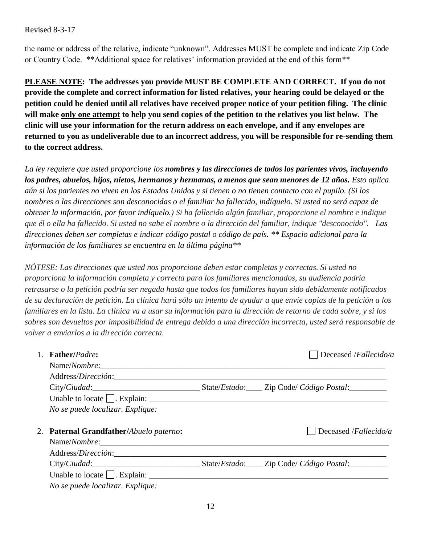the name or address of the relative, indicate "unknown". Addresses MUST be complete and indicate Zip Code or Country Code. \*\*Additional space for relatives' information provided at the end of this form\*\*

**PLEASE NOTE: The addresses you provide MUST BE COMPLETE AND CORRECT. If you do not provide the complete and correct information for listed relatives, your hearing could be delayed or the petition could be denied until all relatives have received proper notice of your petition filing. The clinic will make only one attempt to help you send copies of the petition to the relatives you list below. The clinic will use your information for the return address on each envelope, and if any envelopes are returned to you as undeliverable due to an incorrect address, you will be responsible for re-sending them to the correct address.** 

*La ley requiere que usted proporcione los nombres y las direcciones de todos los parientes vivos, incluyendo los padres, abuelos, hijos, nietos, hermanos y hermanas, a menos que sean menores de 12 años. Esto aplica aún si los parientes no viven en los Estados Unidos y si tienen o no tienen contacto con el pupilo. (Si los nombres o las direcciones son desconocidas o el familiar ha fallecido, indíquelo. Si usted no será capaz de obtener la información, por favor indíquelo.) Si ha fallecido algún familiar, proporcione el nombre e indique que él o ella ha fallecido. Si usted no sabe el nombre o la dirección del familiar, indique "desconocido". Las direcciones deben ser completas e indicar código postal o código de país. \*\* Espacio adicional para la información de los familiares se encuentra en la última página\*\** 

*NÓTESE: Las direcciones que usted nos proporcione deben estar completas y correctas. Si usted no proporciona la información completa y correcta para los familiares mencionados, su audiencia podría retrasarse o la petición podría ser negada hasta que todos los familiares hayan sido debidamente notificados de su declaración de petición. La clínica hará sólo un intento de ayudar a que envíe copias de la petición a los familiares en la lista. La clínica va a usar su información para la dirección de retorno de cada sobre, y si los sobres son devueltos por imposibilidad de entrega debido a una dirección incorrecta, usted será responsable de volver a enviarlos a la dirección correcta.*

| <b>Father/Padre:</b>                                | Deceased /Fallecido/a         |
|-----------------------------------------------------|-------------------------------|
|                                                     |                               |
|                                                     |                               |
|                                                     |                               |
|                                                     |                               |
| No se puede localizar. Explique:                    |                               |
|                                                     |                               |
|                                                     |                               |
| 2. Paternal Grandfather/Abuelo paterno:             | Deceased / <i>Fallecido/a</i> |
| Name/Nombre: 2008. [19] Name/Nombre:                |                               |
|                                                     |                               |
| City/Ciudad: State/Estado: Zip Code/ Código Postal: |                               |
|                                                     |                               |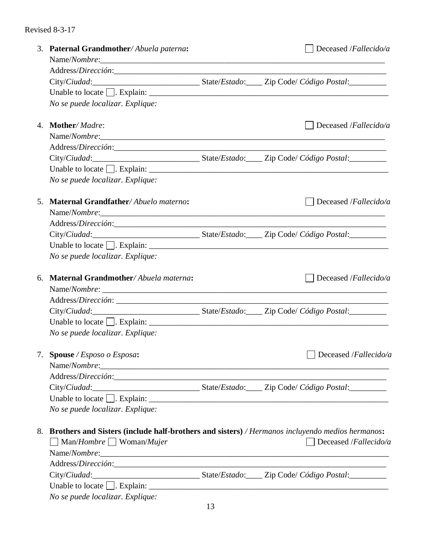|    | 3. Paternal Grandmother/Abuela paterna:<br>Name/Nombre:                                              | Deceased /Fallecido/a |
|----|------------------------------------------------------------------------------------------------------|-----------------------|
|    |                                                                                                      |                       |
|    | City/Ciudad:_________________________________State/Estado:_____ Zip Code/ Código Postal:___________  |                       |
|    | Unable to locate $\Box$ . Explain: $\Box$                                                            |                       |
|    | No se puede localizar. Explique:                                                                     |                       |
|    | 4. Mother/Madre:                                                                                     | Deceased /Fallecido/a |
|    | Name/Nombre:                                                                                         |                       |
|    |                                                                                                      |                       |
|    |                                                                                                      |                       |
|    | Unable to locate $\Box$ . Explain: $\Box$                                                            |                       |
|    | No se puede localizar. Explique:                                                                     |                       |
|    | 5. Maternal Grandfather/Abuelo materno:                                                              | Deceased /Fallecido/a |
|    | Name/Nombre:                                                                                         |                       |
|    |                                                                                                      |                       |
|    | City/Ciudad:__________________________________State/Estado:______ Zip Code/ Código Postal:__________ |                       |
|    |                                                                                                      |                       |
|    | No se puede localizar. Explique:                                                                     |                       |
| 6. | Maternal Grandmother/Abuela materna:                                                                 | Deceased /Fallecido/a |
|    |                                                                                                      |                       |
|    |                                                                                                      |                       |
|    | City/Ciudad:__________________________________State/Estado:______ Zip Code/ Código Postal:__________ |                       |
|    |                                                                                                      |                       |
|    | No se puede localizar. Explique:                                                                     |                       |
|    | 7. Spouse / Esposo o Esposa:                                                                         | Deceased /Fallecido/a |
|    |                                                                                                      |                       |
|    |                                                                                                      |                       |
|    | City/Ciudad:__________________________________State/Estado:_____ Zip Code/ Código Postal:__________  |                       |
|    |                                                                                                      |                       |
|    | No se puede localizar. Explique:                                                                     |                       |
|    | 8. Brothers and Sisters (include half-brothers and sisters) / Hermanos incluyendo medios hermanos:   |                       |
|    | $\Box$ Man/ <i>Hombre</i> $\Box$ Woman/ <i>Mujer</i>                                                 | Deceased /Fallecido/a |
|    |                                                                                                      |                       |
|    |                                                                                                      |                       |
|    |                                                                                                      |                       |
|    |                                                                                                      |                       |
|    | No se puede localizar. Explique:                                                                     |                       |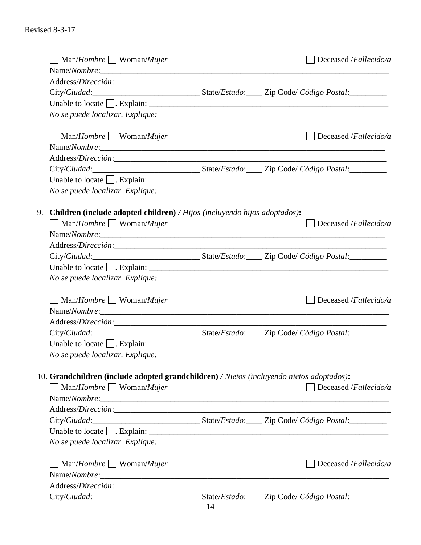| $\Box$ Man/ <i>Hombre</i> $\Box$ Woman/ <i>Mujer</i>                                      |    | Deceased /Fallecido/a                                                                                      |
|-------------------------------------------------------------------------------------------|----|------------------------------------------------------------------------------------------------------------|
|                                                                                           |    |                                                                                                            |
|                                                                                           |    |                                                                                                            |
|                                                                                           |    | City/Ciudad:__________________________________State/Estado:_____ Zip Code/ Código Postal:__________        |
|                                                                                           |    |                                                                                                            |
| No se puede localizar. Explique:                                                          |    |                                                                                                            |
| $\Box$ Man/ <i>Hombre</i> $\Box$ Woman/ <i>Mujer</i>                                      |    | Deceased /Fallecido/a                                                                                      |
|                                                                                           |    |                                                                                                            |
|                                                                                           |    |                                                                                                            |
|                                                                                           |    | City/Ciudad:_________________________________State/Estado:_____ Zip Code/ Código Postal:___________        |
|                                                                                           |    |                                                                                                            |
| No se puede localizar. Explique:                                                          |    |                                                                                                            |
| 9. Children (include adopted children) / Hijos (incluyendo hijos adoptados):              |    |                                                                                                            |
| $\Box$ Man/Hombre $\Box$ Woman/Mujer                                                      |    | Deceased /Fallecido/a                                                                                      |
| Name/Nombre:                                                                              |    |                                                                                                            |
|                                                                                           |    |                                                                                                            |
|                                                                                           |    |                                                                                                            |
| Unable to locate $\Box$ . Explain: $\Box$                                                 |    |                                                                                                            |
| No se puede localizar. Explique:                                                          |    |                                                                                                            |
|                                                                                           |    |                                                                                                            |
| $\Box$ Man/Hombre $\Box$ Woman/Mujer                                                      |    | Deceased /Fallecido/a                                                                                      |
| Name/Nombre:                                                                              |    |                                                                                                            |
|                                                                                           |    |                                                                                                            |
|                                                                                           |    | City/Ciudad:_________________________________State/Estado:_____ Zip Code/ Código Postal:___________        |
| Unable to locate $\Box$ . Explain: $\Box$                                                 |    |                                                                                                            |
| No se puede localizar. Explique:                                                          |    |                                                                                                            |
| 10. Grandchildren (include adopted grandchildren) / Nietos (incluyendo nietos adoptados): |    |                                                                                                            |
| $\text{Man}/\text{Hombre}$ Woman/ <i>Mujer</i>                                            |    | Deceased /Fallecido/a                                                                                      |
| Name/Nombre:                                                                              |    |                                                                                                            |
|                                                                                           |    |                                                                                                            |
|                                                                                           |    | City/Ciudad: __________________________________State/Estado: ______ Zip Code/ Código Postal: _____________ |
|                                                                                           |    |                                                                                                            |
| No se puede localizar. Explique:                                                          |    |                                                                                                            |
| $\text{Man}/\text{Hombre}$ Woman/ <i>Mujer</i>                                            |    | Deceased /Fallecido/a                                                                                      |
|                                                                                           |    |                                                                                                            |
|                                                                                           |    |                                                                                                            |
|                                                                                           | 11 |                                                                                                            |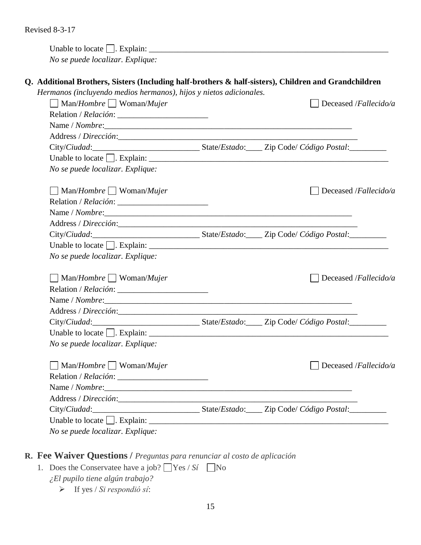Unable to locate  $\Box$ . Explain:  $\Box$ 

*No se puede localizar. Explique:*

# **Q. Additional Brothers, Sisters (Including half-brothers & half-sisters), Children and Grandchildren**

*Hermanos (incluyendo medios hermanos), hijos y nietos adicionales.* 

| $\text{Man}/\text{Hombre}$ Woman/ <i>Mujer</i>                                                             |  | Deceased /Fallecido/a |
|------------------------------------------------------------------------------------------------------------|--|-----------------------|
|                                                                                                            |  |                       |
|                                                                                                            |  |                       |
|                                                                                                            |  |                       |
| City/Ciudad: __________________________________State/Estado: ______ Zip Code/ Código Postal: _____________ |  |                       |
|                                                                                                            |  |                       |
| No se puede localizar. Explique:                                                                           |  |                       |
| $\Box$ Man/Hombre $\Box$ Woman/Mujer                                                                       |  | Deceased /Fallecido/a |
|                                                                                                            |  |                       |
| Name / Nombre:                                                                                             |  |                       |
|                                                                                                            |  |                       |
| City/Ciudad:__________________________________State/Estado:_____ Zip Code/ Código Postal:__________        |  |                       |
|                                                                                                            |  |                       |
| No se puede localizar. Explique:                                                                           |  |                       |
| $\Box$ Man/Hombre $\Box$ Woman/Mujer                                                                       |  | Deceased /Fallecido/a |
|                                                                                                            |  |                       |
|                                                                                                            |  |                       |
|                                                                                                            |  |                       |
| City/Ciudad:__________________________________State/Estado:_____ Zip Code/ Código Postal:__________        |  |                       |
|                                                                                                            |  |                       |
| No se puede localizar. Explique:                                                                           |  |                       |
| $\Box$ Man/ <i>Hombre</i> $\Box$ Woman/ <i>Mujer</i>                                                       |  | Deceased /Fallecido/a |
|                                                                                                            |  |                       |
|                                                                                                            |  |                       |
|                                                                                                            |  |                       |
|                                                                                                            |  |                       |
| City/Ciudad:__________________________________State/Estado:_____ Zip Code/ Código Postal:__________        |  |                       |
| Unable to locate $\Box$ . Explain: $\Box$                                                                  |  |                       |

# **R. Fee Waiver Questions /** *Preguntas para renunciar al costo de aplicación*

- 1. Does the Conservatee have a job?  $\Box$  Yes / *Sí*  $\Box$  No
	- *¿El pupilo tiene algún trabajo?*
		- ➢ If yes / *Si respondió sί*: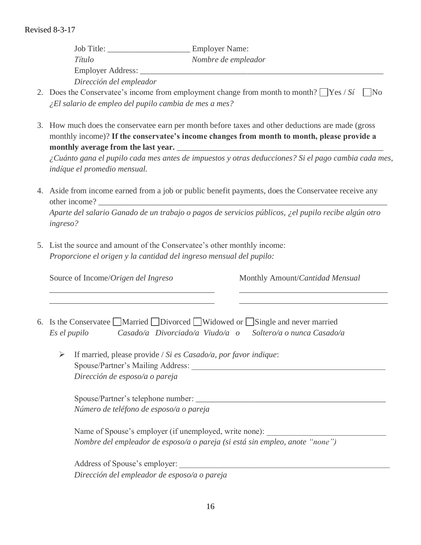Job Title: \_\_\_\_\_\_\_\_\_\_\_\_\_\_\_\_\_\_\_\_ Employer Name: *Tίtulo Nombre de empleador* Employer Address: *Dirección del empleador*

- 2. Does the Conservatee's income from employment change from month to month?  $\Box$  Yes / *Sí*  $\Box$  No *¿El salario de empleo del pupilo cambia de mes a mes?*
- 3. How much does the conservatee earn per month before taxes and other deductions are made (gross monthly income)? **If the conservatee's income changes from month to month, please provide a**  monthly average from the last year.

*¿Cuánto gana el pupilo cada mes antes de impuestos y otras deducciones? Si el pago cambia cada mes, indίque el promedio mensual.*

4. Aside from income earned from a job or public benefit payments, does the Conservatee receive any other income?

*Aparte del salario Ganado de un trabajo o pagos de servicios públicos, ¿el pupilo recibe algún otro ingreso?*

5. List the source and amount of the Conservatee's other monthly income: *Proporcione el origen y la cantidad del ingreso mensual del pupilo:*

Source of Income/*Origen del Ingreso* Monthly Amount/*Cantidad Mensual* \_\_\_\_\_\_\_\_\_\_\_\_\_\_\_\_\_\_\_\_\_\_\_\_\_\_\_\_\_\_\_\_\_\_\_\_\_\_\_\_ \_\_\_\_\_\_\_\_\_\_\_\_\_\_\_\_\_\_\_\_\_\_\_\_\_\_\_\_\_\_\_\_\_\_\_\_ \_\_\_\_\_\_\_\_\_\_\_\_\_\_\_\_\_\_\_\_\_\_\_\_\_\_\_\_\_\_\_\_\_\_\_\_\_\_\_\_ \_\_\_\_\_\_\_\_\_\_\_\_\_\_\_\_\_\_\_\_\_\_\_\_\_\_\_\_\_\_\_\_\_\_\_\_ 6. Is the Conservatee  $\Box$  Married  $\Box$  Divorced  $\Box$  Widowed or  $\Box$  Single and never married *Es el pupilo Casado/a Divorciado/a Viudo/a o Soltero/a o nunca Casado/a* ➢ If married, please provide / *Si es Casado/a, por favor indique*: Spouse/Partner's Mailing Address: *Dirección de esposo/a o pareja* Spouse/Partner's telephone number: *Número de teléfono de esposo/a o pareja* Name of Spouse's employer (if unemployed, write none): *Nombre del empleador de esposo/a o pareja (si está sin empleo, anote "none")* Address of Spouse's employer: *Dirección del empleador de esposo/a o pareja*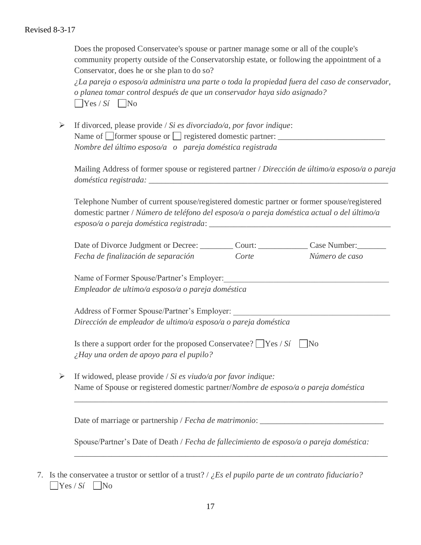Does the proposed Conservatee's spouse or partner manage some or all of the couple's community property outside of the Conservatorship estate, or following the appointment of a Conservator, does he or she plan to do so?

*¿La pareja o esposo/a administra una parte o toda la propiedad fuera del caso de conservador, o planea tomar control después de que un conservador haya sido asignado?*   $\bigcap$ Yes / *Sí*  $\bigcap$ No

➢ If divorced, please provide / *Si es divorciado/a, por favor indique*: Name of  $\Box$  former spouse or  $\Box$  registered domestic partner: *Nombre del último esposo/a o pareja doméstica registrada*

Mailing Address of former spouse or registered partner / *Dirección de último/a esposo/a o pareja doméstica registrada:*  $\overline{\phantom{a}}$ 

Telephone Number of current spouse/registered domestic partner or former spouse/registered domestic partner / *Número de teléfono del esposo/a o pareja doméstica actual o del último/a esposo/a o pareja doméstica registrada*: *\_\_\_\_\_\_\_\_\_\_\_\_\_\_\_\_\_\_\_\_\_\_\_\_\_\_\_\_\_\_\_\_\_\_\_\_\_\_\_\_\_\_\_\_*

| Date of Divorce Judgment or Decree: | Court: | Case Number:   |
|-------------------------------------|--------|----------------|
| Fecha de finalización de separación | Corte  | Número de caso |

Name of Former Spouse/Partner's Employer: *Empleador de ultimo/a esposo/a o pareja doméstica*

Address of Former Spouse/Partner's Employer: *Dirección de empleador de ultimo/a esposo/a o pareja doméstica*

| Is there a support order for the proposed Conservatee? $\Box$ Yes / Si $\Box$ No |  |
|----------------------------------------------------------------------------------|--|
| $\lambda$ Hay una orden de apoyo para el pupilo?                                 |  |

➢ If widowed, please provide / *Si es viudo/a por favor indique:* Name of Spouse or registered domestic partner/*Nombre de esposo/a o pareja doméstica*

Date of marriage or partnership / *Fecha de matrimonio*: \_\_\_\_\_\_\_\_\_\_\_\_\_\_\_\_\_\_\_\_\_\_\_\_\_\_\_\_\_\_

Spouse/Partner's Date of Death / *Fecha de fallecimiento de esposo/a o pareja doméstica:*

*\_\_\_\_\_\_\_\_\_\_\_\_\_\_\_\_\_\_\_\_\_\_\_\_\_\_\_\_\_\_\_\_\_\_\_\_\_\_\_\_\_\_\_\_\_\_\_\_\_\_\_\_\_\_\_\_\_\_\_\_\_\_\_\_\_\_\_\_\_\_\_\_\_\_\_\_*

*\_\_\_\_\_\_\_\_\_\_\_\_\_\_\_\_\_\_\_\_\_\_\_\_\_\_\_\_\_\_\_\_\_\_\_\_\_\_\_\_\_\_\_\_\_\_\_\_\_\_\_\_\_\_\_\_\_\_\_\_\_\_\_\_\_\_\_\_\_\_\_\_\_\_\_\_*

7. Is the conservatee a trustor or settlor of a trust? / *¿Es el pupilo parte de un contrato fiduciario?*  $\bigcap$ Yes / *Sí*  $\bigcap$ No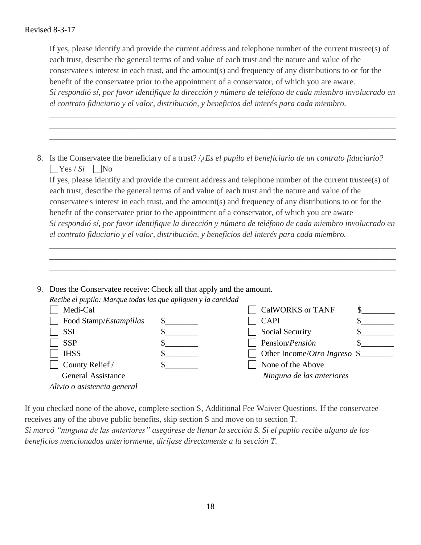If yes, please identify and provide the current address and telephone number of the current trustee(s) of each trust, describe the general terms of and value of each trust and the nature and value of the conservatee's interest in each trust, and the amount(s) and frequency of any distributions to or for the benefit of the conservatee prior to the appointment of a conservator, of which you are aware. *Si respondió sί, por favor identifique la dirección y número de teléfono de cada miembro involucrado en el contrato fiduciario y el valor, distribución, y beneficios del interés para cada miembro.*

\_\_\_\_\_\_\_\_\_\_\_\_\_\_\_\_\_\_\_\_\_\_\_\_\_\_\_\_\_\_\_\_\_\_\_\_\_\_\_\_\_\_\_\_\_\_\_\_\_\_\_\_\_\_\_\_\_\_\_\_\_\_\_\_\_\_\_\_\_\_\_\_\_\_\_\_\_\_\_\_\_\_\_\_ \_\_\_\_\_\_\_\_\_\_\_\_\_\_\_\_\_\_\_\_\_\_\_\_\_\_\_\_\_\_\_\_\_\_\_\_\_\_\_\_\_\_\_\_\_\_\_\_\_\_\_\_\_\_\_\_\_\_\_\_\_\_\_\_\_\_\_\_\_\_\_\_\_\_\_\_\_\_\_\_\_\_\_\_ \_\_\_\_\_\_\_\_\_\_\_\_\_\_\_\_\_\_\_\_\_\_\_\_\_\_\_\_\_\_\_\_\_\_\_\_\_\_\_\_\_\_\_\_\_\_\_\_\_\_\_\_\_\_\_\_\_\_\_\_\_\_\_\_\_\_\_\_\_\_\_\_\_\_\_\_\_\_\_\_\_\_\_\_

8. Is the Conservatee the beneficiary of a trust? /*¿Es el pupilo el beneficiario de un contrato fiduciario?*  $\bigcap$ Yes / *Sí*  $\bigcap$ No

If yes, please identify and provide the current address and telephone number of the current trustee(s) of each trust, describe the general terms of and value of each trust and the nature and value of the conservatee's interest in each trust, and the amount(s) and frequency of any distributions to or for the benefit of the conservatee prior to the appointment of a conservator, of which you are aware *Si respondió sί, por favor identifique la dirección y número de teléfono de cada miembro involucrado en el contrato fiduciario y el valor, distribución, y beneficios del interés para cada miembro.*

\_\_\_\_\_\_\_\_\_\_\_\_\_\_\_\_\_\_\_\_\_\_\_\_\_\_\_\_\_\_\_\_\_\_\_\_\_\_\_\_\_\_\_\_\_\_\_\_\_\_\_\_\_\_\_\_\_\_\_\_\_\_\_\_\_\_\_\_\_\_\_\_\_\_\_\_\_\_\_\_\_\_\_\_ \_\_\_\_\_\_\_\_\_\_\_\_\_\_\_\_\_\_\_\_\_\_\_\_\_\_\_\_\_\_\_\_\_\_\_\_\_\_\_\_\_\_\_\_\_\_\_\_\_\_\_\_\_\_\_\_\_\_\_\_\_\_\_\_\_\_\_\_\_\_\_\_\_\_\_\_\_\_\_\_\_\_\_\_ \_\_\_\_\_\_\_\_\_\_\_\_\_\_\_\_\_\_\_\_\_\_\_\_\_\_\_\_\_\_\_\_\_\_\_\_\_\_\_\_\_\_\_\_\_\_\_\_\_\_\_\_\_\_\_\_\_\_\_\_\_\_\_\_\_\_\_\_\_\_\_\_\_\_\_\_\_\_\_\_\_\_\_\_

9. Does the Conservatee receive: Check all that apply and the amount. *Recibe el pupilo: Marque todas las que apliquen y la cantidad*

| Recibe et pupub. Murque ibuus ius que apuquen y la cumului |                                                 |  |
|------------------------------------------------------------|-------------------------------------------------|--|
| Medi-Cal                                                   | <b>CalWORKS or TANF</b>                         |  |
| Food Stamp/Estampillas                                     | <b>CAPI</b>                                     |  |
| <b>SSI</b>                                                 | <b>Social Security</b>                          |  |
| <b>SSP</b>                                                 | Pension/Pensión                                 |  |
| <b>IHSS</b>                                                | Other Income/ <i>Otro Ingreso</i> $\frac{1}{2}$ |  |
| County Relief /                                            | None of the Above                               |  |
| <b>General Assistance</b>                                  | Ninguna de las anteriores                       |  |
| Alivio o asistencia general                                |                                                 |  |
|                                                            |                                                 |  |

If you checked none of the above, complete section S, Additional Fee Waiver Questions. If the conservatee receives any of the above public benefits, skip section S and move on to section T.

*Si marcó "ninguna de las anteriores" asegúrese de llenar la sección S. Si el pupilo recibe alguno de los beneficios mencionados anteriormente, dirίjase directamente a la sección T.*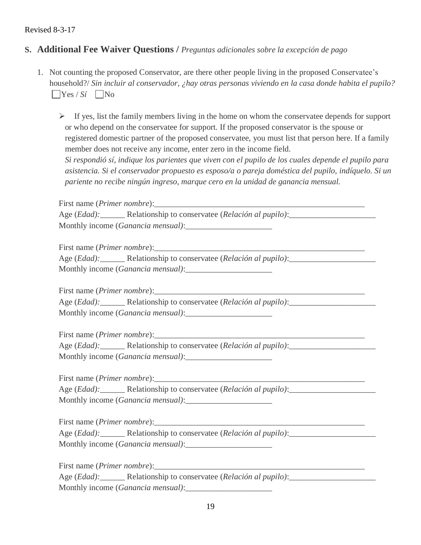## **S. Additional Fee Waiver Questions /** *Preguntas adicionales sobre la excepción de pago*

- 1. Not counting the proposed Conservator, are there other people living in the proposed Conservatee's household?/ *Sin incluir al conservador, ¿hay otras personas viviendo en la casa donde habita el pupilo?*  $\bigcap$ Yes / *Sí*  $\bigcap$ No
	- $\triangleright$  If yes, list the family members living in the home on whom the conservatee depends for support or who depend on the conservatee for support. If the proposed conservator is the spouse or registered domestic partner of the proposed conservatee, you must list that person here. If a family member does not receive any income, enter zero in the income field.

*Si respondió sí, indique los parientes que viven con el pupilo de los cuales depende el pupilo para asistencia. Si el conservador propuesto es esposo/a o pareja doméstica del pupilo, indíquelo. Si un pariente no recibe ningún ingreso, marque cero en la unidad de ganancia mensual.* 

First name (*Primer nombre*): Age (*Edad):\_\_\_\_\_\_* Relationship to conservatee (*Relación al pupilo)*:\_\_\_\_\_\_\_\_\_\_\_\_\_\_\_\_\_\_\_\_\_ Monthly income (*Ganancia mensual*):

First name (*Primer nombre*): Age (*Edad*): Relationship to conservatee (*Relación al pupilo*): Monthly income (*Ganancia mensual*):

First name (*Primer nombre*):\_\_\_\_\_\_\_\_\_\_\_\_\_\_\_\_\_\_\_\_\_\_\_\_\_\_\_\_\_\_\_\_\_\_\_\_\_\_\_\_\_\_\_\_\_\_\_\_\_\_\_ Age (*Edad):\_\_\_\_\_\_* Relationship to conservatee (*Relación al pupilo)*:\_\_\_\_\_\_\_\_\_\_\_\_\_\_\_\_\_\_\_\_\_ Monthly income (*Ganancia mensual)*:\_\_\_\_\_\_\_\_\_\_\_\_\_\_\_\_\_\_\_\_\_

First name (*Primer nombre*): Age (*Edad*): Relationship to conservatee (*Relación al pupilo*): Monthly income (*Ganancia mensual*):

First name (*Primer nombre*):\_\_\_\_\_\_\_\_\_\_\_\_\_\_\_\_\_\_\_\_\_\_\_\_\_\_\_\_\_\_\_\_\_\_\_\_\_\_\_\_\_\_\_\_\_\_\_\_\_\_\_ Age (*Edad):\_\_\_\_\_\_* Relationship to conservatee (*Relación al pupilo)*:\_\_\_\_\_\_\_\_\_\_\_\_\_\_\_\_\_\_\_\_\_ Monthly income (*Ganancia mensual)*:\_\_\_\_\_\_\_\_\_\_\_\_\_\_\_\_\_\_\_\_\_

First name (*Primer nombre*):

Age (*Edad*): Relationship to conservatee (*Relación al pupilo*): Monthly income (*Ganancia mensual*):

First name (*Primer nombre*):

|                                    | Age ( <i>Edad</i> ): <b>Relationship to conservatee</b> ( <i>Relación al pupilo</i> ): |  |
|------------------------------------|----------------------------------------------------------------------------------------|--|
| Monthly income (Ganancia mensual): |                                                                                        |  |